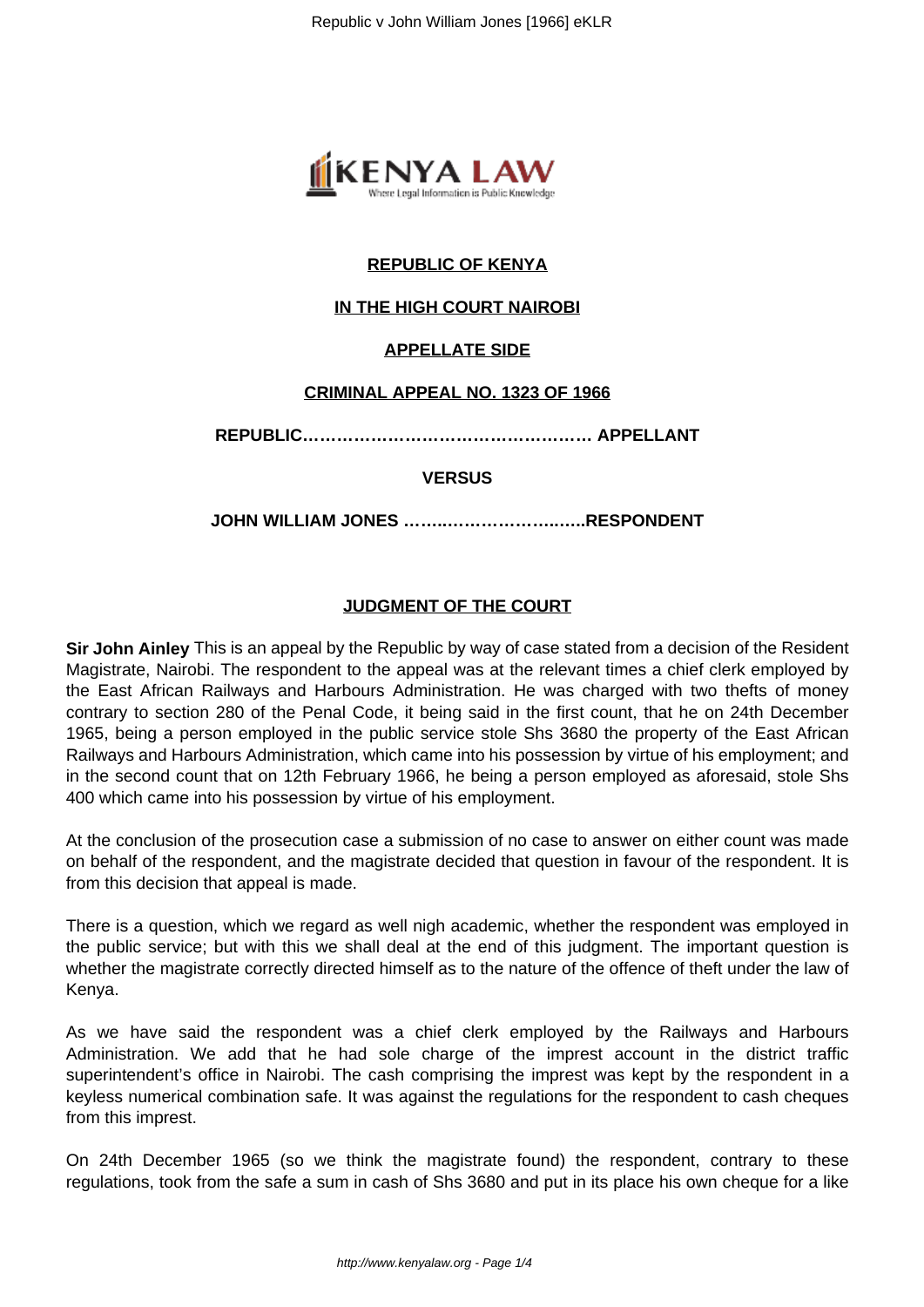

# **REPUBLIC OF KENYA**

## **IN THE HIGH COURT NAIROBI**

#### **APPELLATE SIDE**

#### **CRIMINAL APPEAL NO. 1323 OF 1966**

**REPUBLIC…………………………………………… APPELLANT**

#### **VERSUS**

**JOHN WILLIAM JONES ……..………………..…..RESPONDENT**

#### **JUDGMENT OF THE COURT**

**Sir John Ainley** This is an appeal by the Republic by way of case stated from a decision of the Resident Magistrate, Nairobi. The respondent to the appeal was at the relevant times a chief clerk employed by the East African Railways and Harbours Administration. He was charged with two thefts of money contrary to section 280 of the Penal Code, it being said in the first count, that he on 24th December 1965, being a person employed in the public service stole Shs 3680 the property of the East African Railways and Harbours Administration, which came into his possession by virtue of his employment; and in the second count that on 12th February 1966, he being a person employed as aforesaid, stole Shs 400 which came into his possession by virtue of his employment.

At the conclusion of the prosecution case a submission of no case to answer on either count was made on behalf of the respondent, and the magistrate decided that question in favour of the respondent. It is from this decision that appeal is made.

There is a question, which we regard as well nigh academic, whether the respondent was employed in the public service; but with this we shall deal at the end of this judgment. The important question is whether the magistrate correctly directed himself as to the nature of the offence of theft under the law of Kenya.

As we have said the respondent was a chief clerk employed by the Railways and Harbours Administration. We add that he had sole charge of the imprest account in the district traffic superintendent's office in Nairobi. The cash comprising the imprest was kept by the respondent in a keyless numerical combination safe. It was against the regulations for the respondent to cash cheques from this imprest.

On 24th December 1965 (so we think the magistrate found) the respondent, contrary to these regulations, took from the safe a sum in cash of Shs 3680 and put in its place his own cheque for a like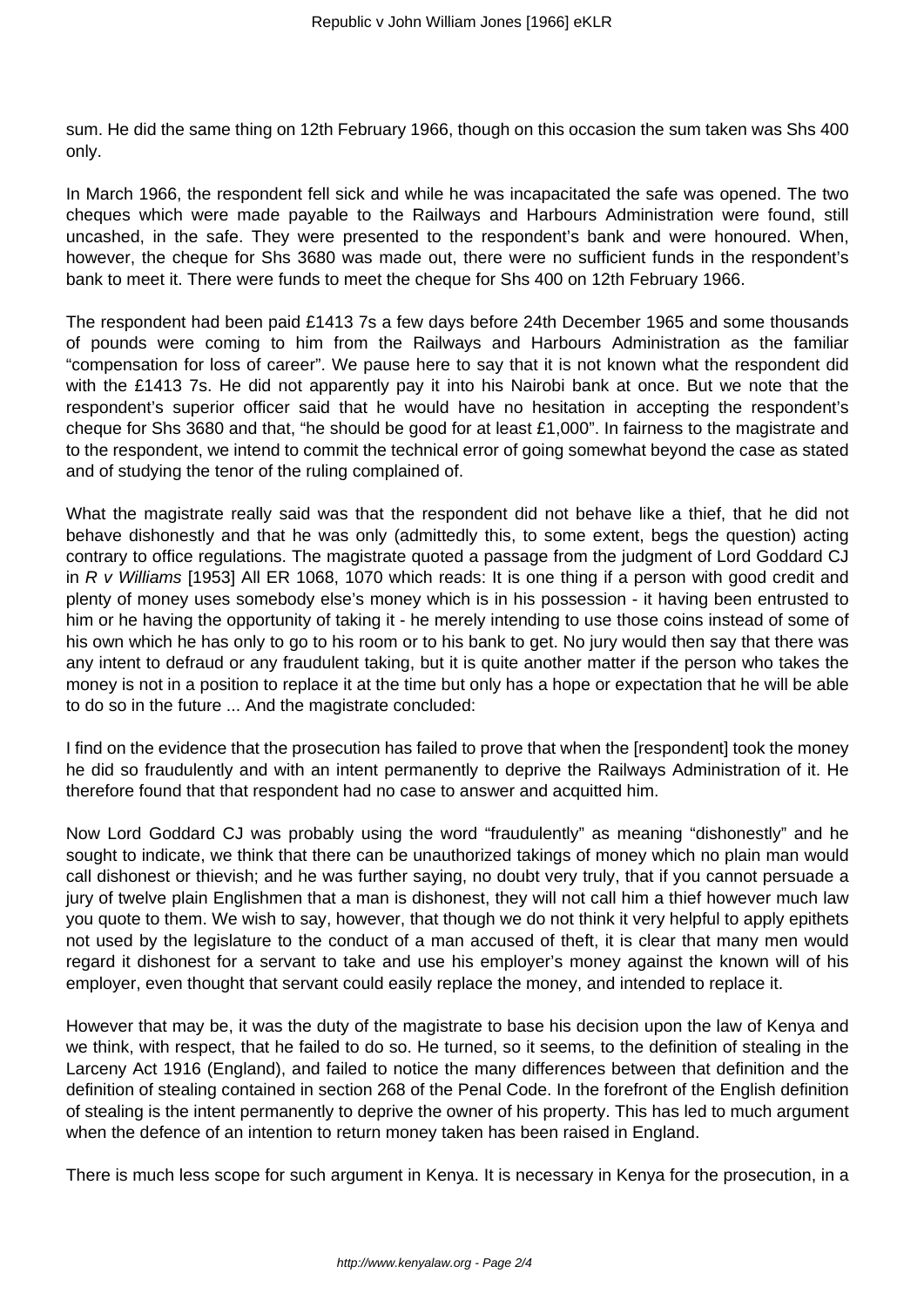sum. He did the same thing on 12th February 1966, though on this occasion the sum taken was Shs 400 only.

In March 1966, the respondent fell sick and while he was incapacitated the safe was opened. The two cheques which were made payable to the Railways and Harbours Administration were found, still uncashed, in the safe. They were presented to the respondent's bank and were honoured. When, however, the cheque for Shs 3680 was made out, there were no sufficient funds in the respondent's bank to meet it. There were funds to meet the cheque for Shs 400 on 12th February 1966.

The respondent had been paid £1413 7s a few days before 24th December 1965 and some thousands of pounds were coming to him from the Railways and Harbours Administration as the familiar "compensation for loss of career". We pause here to say that it is not known what the respondent did with the £1413 7s. He did not apparently pay it into his Nairobi bank at once. But we note that the respondent's superior officer said that he would have no hesitation in accepting the respondent's cheque for Shs 3680 and that, "he should be good for at least £1,000". In fairness to the magistrate and to the respondent, we intend to commit the technical error of going somewhat beyond the case as stated and of studying the tenor of the ruling complained of.

What the magistrate really said was that the respondent did not behave like a thief, that he did not behave dishonestly and that he was only (admittedly this, to some extent, begs the question) acting contrary to office regulations. The magistrate quoted a passage from the judgment of Lord Goddard CJ in  $R$  v Williams [1953] All ER 1068, 1070 which reads: It is one thing if a person with good credit and plenty of money uses somebody else's money which is in his possession - it having been entrusted to him or he having the opportunity of taking it - he merely intending to use those coins instead of some of his own which he has only to go to his room or to his bank to get. No jury would then say that there was any intent to defraud or any fraudulent taking, but it is quite another matter if the person who takes the money is not in a position to replace it at the time but only has a hope or expectation that he will be able to do so in the future ... And the magistrate concluded:

I find on the evidence that the prosecution has failed to prove that when the [respondent] took the money he did so fraudulently and with an intent permanently to deprive the Railways Administration of it. He therefore found that that respondent had no case to answer and acquitted him.

Now Lord Goddard CJ was probably using the word "fraudulently" as meaning "dishonestly" and he sought to indicate, we think that there can be unauthorized takings of money which no plain man would call dishonest or thievish; and he was further saying, no doubt very truly, that if you cannot persuade a jury of twelve plain Englishmen that a man is dishonest, they will not call him a thief however much law you quote to them. We wish to say, however, that though we do not think it very helpful to apply epithets not used by the legislature to the conduct of a man accused of theft, it is clear that many men would regard it dishonest for a servant to take and use his employer's money against the known will of his employer, even thought that servant could easily replace the money, and intended to replace it.

However that may be, it was the duty of the magistrate to base his decision upon the law of Kenya and we think, with respect, that he failed to do so. He turned, so it seems, to the definition of stealing in the Larceny Act 1916 (England), and failed to notice the many differences between that definition and the definition of stealing contained in section 268 of the Penal Code. In the forefront of the English definition of stealing is the intent permanently to deprive the owner of his property. This has led to much argument when the defence of an intention to return money taken has been raised in England.

There is much less scope for such argument in Kenya. It is necessary in Kenya for the prosecution, in a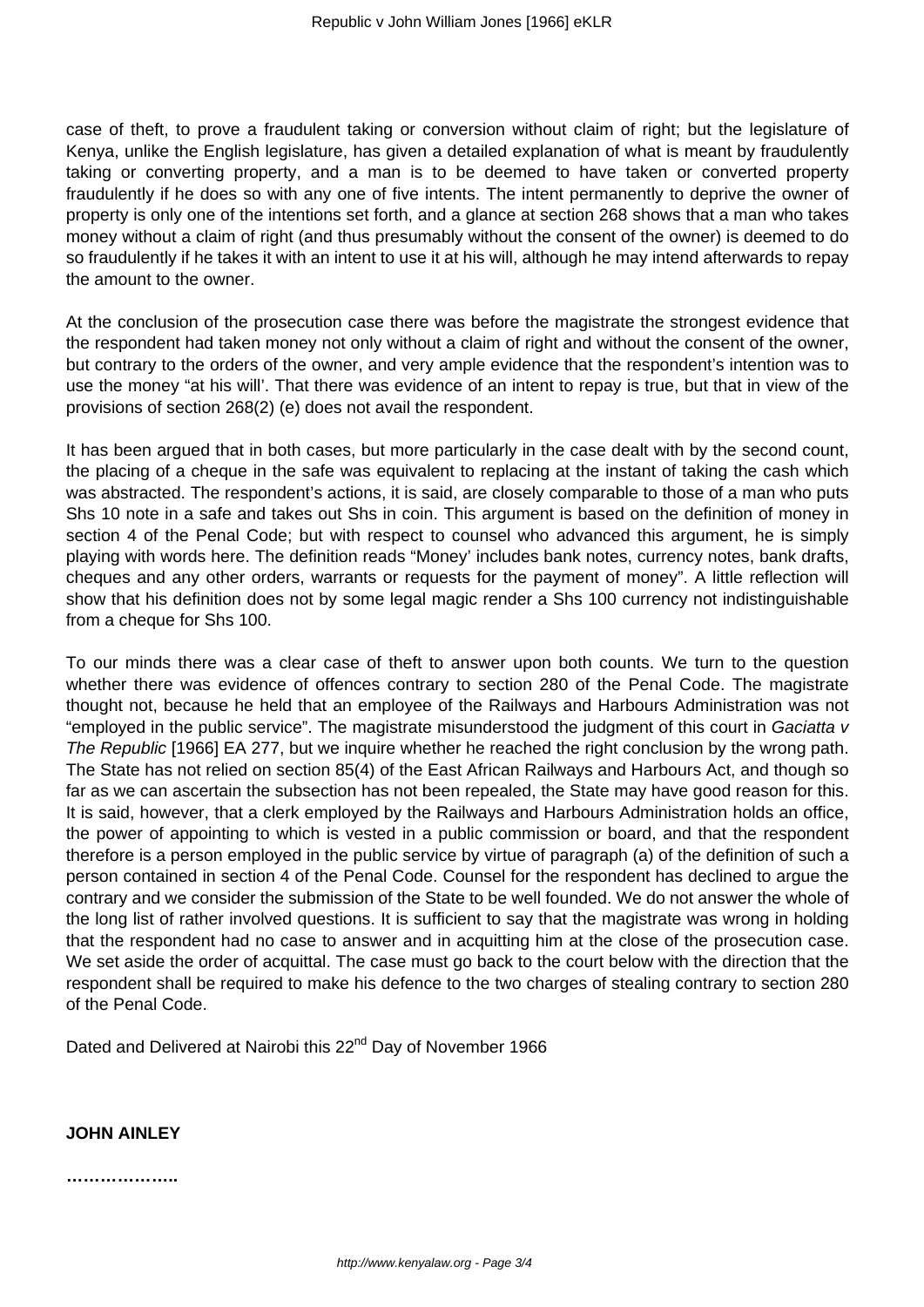case of theft, to prove a fraudulent taking or conversion without claim of right; but the legislature of Kenya, unlike the English legislature, has given a detailed explanation of what is meant by fraudulently taking or converting property, and a man is to be deemed to have taken or converted property fraudulently if he does so with any one of five intents. The intent permanently to deprive the owner of property is only one of the intentions set forth, and a glance at section 268 shows that a man who takes money without a claim of right (and thus presumably without the consent of the owner) is deemed to do so fraudulently if he takes it with an intent to use it at his will, although he may intend afterwards to repay the amount to the owner.

At the conclusion of the prosecution case there was before the magistrate the strongest evidence that the respondent had taken money not only without a claim of right and without the consent of the owner, but contrary to the orders of the owner, and very ample evidence that the respondent's intention was to use the money "at his will'. That there was evidence of an intent to repay is true, but that in view of the provisions of section 268(2) (e) does not avail the respondent.

It has been argued that in both cases, but more particularly in the case dealt with by the second count, the placing of a cheque in the safe was equivalent to replacing at the instant of taking the cash which was abstracted. The respondent's actions, it is said, are closely comparable to those of a man who puts Shs 10 note in a safe and takes out Shs in coin. This argument is based on the definition of money in section 4 of the Penal Code; but with respect to counsel who advanced this argument, he is simply playing with words here. The definition reads "Money' includes bank notes, currency notes, bank drafts, cheques and any other orders, warrants or requests for the payment of money". A little reflection will show that his definition does not by some legal magic render a Shs 100 currency not indistinguishable from a cheque for Shs 100.

To our minds there was a clear case of theft to answer upon both counts. We turn to the question whether there was evidence of offences contrary to section 280 of the Penal Code. The magistrate thought not, because he held that an employee of the Railways and Harbours Administration was not "employed in the public service". The magistrate misunderstood the judgment of this court in Gaciatta v The Republic [1966] EA 277, but we inquire whether he reached the right conclusion by the wrong path. The State has not relied on section 85(4) of the East African Railways and Harbours Act, and though so far as we can ascertain the subsection has not been repealed, the State may have good reason for this. It is said, however, that a clerk employed by the Railways and Harbours Administration holds an office, the power of appointing to which is vested in a public commission or board, and that the respondent therefore is a person employed in the public service by virtue of paragraph (a) of the definition of such a person contained in section 4 of the Penal Code. Counsel for the respondent has declined to argue the contrary and we consider the submission of the State to be well founded. We do not answer the whole of the long list of rather involved questions. It is sufficient to say that the magistrate was wrong in holding that the respondent had no case to answer and in acquitting him at the close of the prosecution case. We set aside the order of acquittal. The case must go back to the court below with the direction that the respondent shall be required to make his defence to the two charges of stealing contrary to section 280 of the Penal Code.

Dated and Delivered at Nairobi this 22<sup>nd</sup> Day of November 1966

#### **JOHN AINLEY**

**………………..**